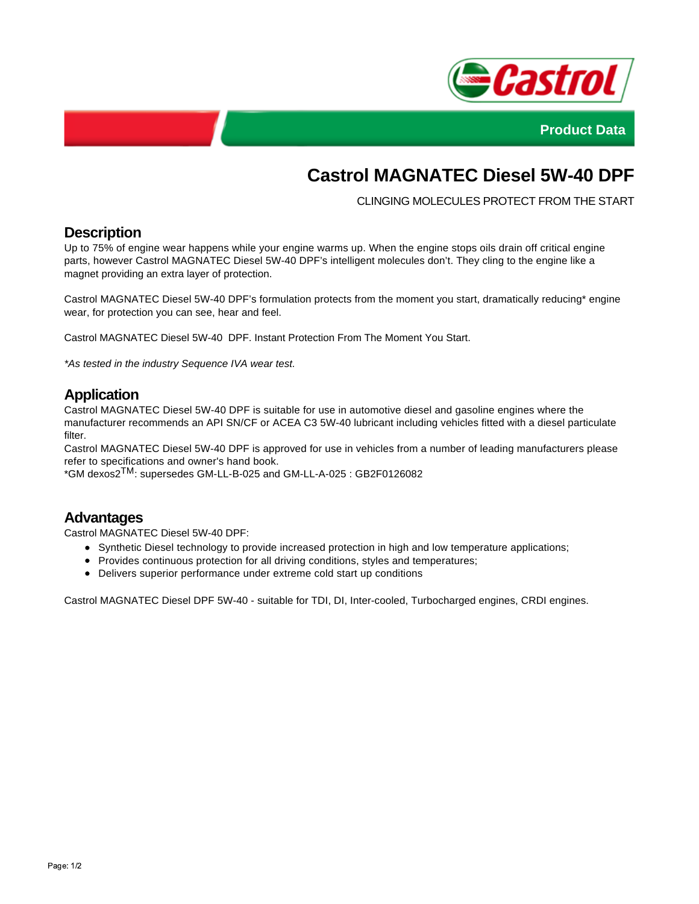



# **Castrol MAGNATEC Diesel 5W-40 DPF**

CLINGING MOLECULES PROTECT FROM THE START

### **Description**

Up to 75% of engine wear happens while your engine warms up. When the engine stops oils drain off critical engine parts, however Castrol MAGNATEC Diesel 5W-40 DPF's intelligent molecules don't. They cling to the engine like a magnet providing an extra layer of protection.

Castrol MAGNATEC Diesel 5W-40 DPF's formulation protects from the moment you start, dramatically reducing\* engine wear, for protection you can see, hear and feel.

Castrol MAGNATEC Diesel 5W-40 DPF. Instant Protection From The Moment You Start.

\*As tested in the industry Sequence IVA wear test.

## **Application**

Castrol MAGNATEC Diesel 5W-40 DPF is suitable for use in automotive diesel and gasoline engines where the manufacturer recommends an API SN/CF or ACEA C3 5W-40 lubricant including vehicles fitted with a diesel particulate filter.

Castrol MAGNATEC Diesel 5W-40 DPF is approved for use in vehicles from a number of leading manufacturers please refer to specifications and owner's hand book.

\*GM dexos2TM: supersedes GM-LL-B-025 and GM-LL-A-025 : GB2F0126082

#### **Advantages**

Castrol MAGNATEC Diesel 5W-40 DPF:

- Synthetic Diesel technology to provide increased protection in high and low temperature applications;
- Provides continuous protection for all driving conditions, styles and temperatures;
- Delivers superior performance under extreme cold start up conditions

Castrol MAGNATEC Diesel DPF 5W-40 - suitable for TDI, DI, Inter-cooled, Turbocharged engines, CRDI engines.